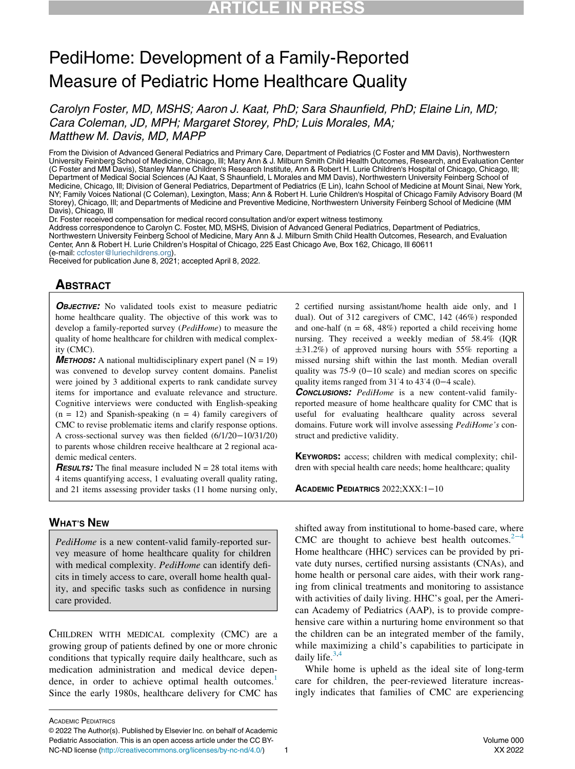# PediHome: Development of a Family-Reported Measure of Pediatric Home Healthcare Quality

Carolyn Foster, MD, MSHS; Aaron J. Kaat, PhD; Sara Shaunfield, PhD; Elaine Lin, MD; Cara Coleman, JD, MPH; Margaret Storey, PhD; Luis Morales, MA; Matthew M. Davis, MD, MAPP

From the Division of Advanced General Pediatrics and Primary Care, Department of Pediatrics (C Foster and MM Davis), Northwestern University Feinberg School of Medicine, Chicago, Ill; Mary Ann & J. Milburn Smith Child Health Outcomes, Research, and Evaluation Center (C Foster and MM Davis), Stanley Manne Children's Research Institute, Ann & Robert H. Lurie Children's Hospital of Chicago, Chicago, Ill; Department of Medical Social Sciences (AJ Kaat, S Shaunfield, L Morales and MM Davis), Northwestern University Feinberg School of Medicine, Chicago, Ill; Division of General Pediatrics, Department of Pediatrics (E Lin), Icahn School of Medicine at Mount Sinai, New York, NY; Family Voices National (C Coleman), Lexington, Mass; Ann & Robert H. Lurie Children's Hospital of Chicago Family Advisory Board (M Storey), Chicago, Ill; and Departments of Medicine and Preventive Medicine, Northwestern University Feinberg School of Medicine (MM Davis), Chicago, Ill

Dr. Foster received compensation for medical record consultation and/or expert witness testimony. Address correspondence to Carolyn C. Foster, MD, MSHS, Division of Advanced General Pediatrics, Department of Pediatrics, Northwestern University Feinberg School of Medicine, Mary Ann & J. Milburn Smith Child Health Outcomes, Research, and Evaluation Center, Ann & Robert H. Lurie Children's Hospital of Chicago, 225 East Chicago Ave, Box 162, Chicago, Ill 60611 (e-mail: [ccfoster@luriechildrens.org](mailto:ccfoster@luriechildrens.org)).

Received for publication June 8, 2021; accepted April 8, 2022.

# ABSTRACT

**OBJECTIVE:** No validated tools exist to measure pediatric home healthcare quality. The objective of this work was to develop a family-reported survey (PediHome) to measure the quality of home healthcare for children with medical complexity (CMC).

**METHODS:** A national multidisciplinary expert panel  $(N = 19)$ was convened to develop survey content domains. Panelist were joined by 3 additional experts to rank candidate survey items for importance and evaluate relevance and structure. Cognitive interviews were conducted with English-speaking  $(n = 12)$  and Spanish-speaking  $(n = 4)$  family caregivers of CMC to revise problematic items and clarify response options. A cross-sectional survey was then fielded (6/1/20−10/31/20) to parents whose children receive healthcare at 2 regional academic medical centers.

**RESULTS:** The final measure included  $N = 28$  total items with 4 items quantifying access, 1 evaluating overall quality rating, and 21 items assessing provider tasks (11 home nursing only,

### **WHAT'S NEW** WHAT'S NEWSFILM

PediHome is a new content-valid family-reported survey measure of home healthcare quality for children with medical complexity. PediHome can identify deficits in timely access to care, overall home health quality, and specific tasks such as confidence in nursing care provided.

CHILDREN WITH MEDICAL complexity (CMC) are a growing group of patients defined by one or more chronic conditions that typically require daily healthcare, such as medication administration and medical device depen-dence, in order to achieve optimal health outcomes.<sup>[1](#page-8-0)</sup> Since the early 1980s, healthcare delivery for CMC has 2 certified nursing assistant/home health aide only, and 1 dual). Out of 312 caregivers of CMC, 142 (46%) responded and one-half ( $n = 68$ , 48%) reported a child receiving home nursing. They received a weekly median of 58.4% (IQR §31.2%) of approved nursing hours with 55% reporting a missed nursing shift within the last month. Median overall quality was 75-9 (0-10 scale) and median scores on specific quality items ranged from 31<sup>-4</sup> to 43<sup>-4</sup> (0−4 scale).

**CONCLUSIONS:** PediHome is a new content-valid familyreported measure of home healthcare quality for CMC that is useful for evaluating healthcare quality across several domains. Future work will involve assessing PediHome's construct and predictive validity.

KEYWORDS: access; children with medical complexity; children with special health care needs; home healthcare; quality

ACADEMIC PEDIATRICS 2022;XXX:1−<sup>10</sup>

shifted away from institutional to home-based care, where CMC are thought to achieve best health outcomes.<sup>2[−](#page-8-1)4</sup> Home healthcare (HHC) services can be provided by private duty nurses, certified nursing assistants (CNAs), and home health or personal care aides, with their work ranging from clinical treatments and monitoring to assistance with activities of daily living. HHC's goal, per the American Academy of Pediatrics (AAP), is to provide comprehensive care within a nurturing home environment so that the children can be an integrated member of the family, while maximizing a child's capabilities to participate in daily life. $3,4$  $3,4$ 

While home is upheld as the ideal site of long-term care for children, the peer-reviewed literature increasingly indicates that families of CMC are experiencing

ACADEMIC PEDIATRICS

<sup>©</sup> 2022 The Author(s). Published by Elsevier Inc. on behalf of Academic Pediatric Association. This is an open access article under the CC BY-NC-ND license [\(http://creativecommons.org/licenses/by-nc-nd/4.0/\)](http://creativecommons.org/licenses/by-nc-nd/4.0/) 1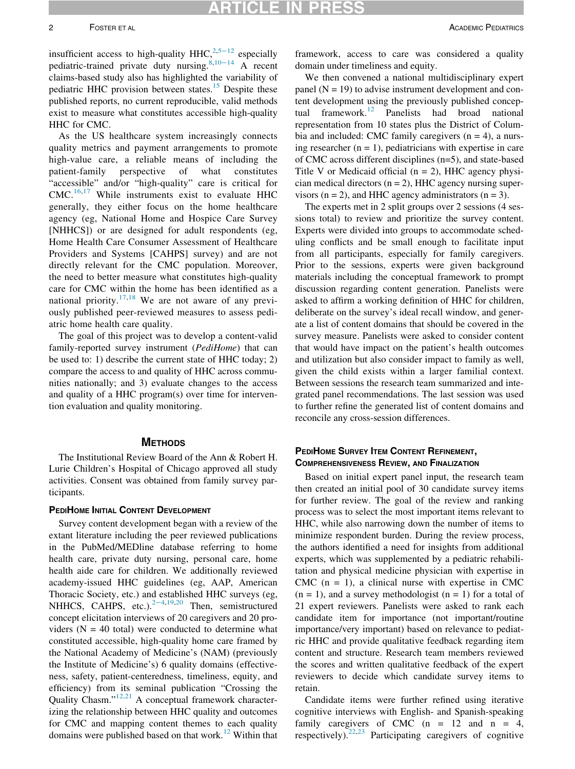insufficient access to high-quality HHC, $2,5-12$  $2,5-12$  especially pediatric-trained private duty nursing[.8](#page-8-5),[10](#page-8-6)−<sup>14</sup> A recent claims-based study also has highlighted the variability of pediatric HHC provision between states.<sup>15</sup> Despite these published reports, no current reproducible, valid methods exist to measure what constitutes accessible high-quality HHC for CMC.

As the US healthcare system increasingly connects quality metrics and payment arrangements to promote high-value care, a reliable means of including the patient-family perspective of what constitutes "accessible" and/or "high-quality" care is critical for CMC.[16](#page-8-8)[,17](#page-8-9) While instruments exist to evaluate HHC generally, they either focus on the home healthcare agency (eg, National Home and Hospice Care Survey [NHHCS]) or are designed for adult respondents (eg, Home Health Care Consumer Assessment of Healthcare Providers and Systems [CAHPS] survey) and are not directly relevant for the CMC population. Moreover, the need to better measure what constitutes high-quality care for CMC within the home has been identified as a national priority.<sup>[17,](#page-8-9)[18](#page-8-10)</sup> We are not aware of any previously published peer-reviewed measures to assess pediatric home health care quality.

The goal of this project was to develop a content-valid family-reported survey instrument (PediHome) that can be used to: 1) describe the current state of HHC today; 2) compare the access to and quality of HHC across communities nationally; and 3) evaluate changes to the access and quality of a HHC program(s) over time for intervention evaluation and quality monitoring.

The Institutional Review Board of the Ann & Robert H. Lurie Children's Hospital of Chicago approved all study activities. Consent was obtained from family survey participants.

**PEDITOME INITIAL CONTENT DEVELOPMENT** extant literature including the peer reviewed publications in the PubMed/MEDline database referring to home health care, private duty nursing, personal care, home health aide care for children. We additionally reviewed academy-issued HHC guidelines (eg, AAP, American Thoracic Society, etc.) and established HHC surveys (eg, NHHCS, CAHPS, etc.). $2-4,19,20$  $2-4,19,20$  $2-4,19,20$  Then, semistructured concept elicitation interviews of 20 caregivers and 20 providers ( $N = 40$  total) were conducted to determine what constituted accessible, high-quality home care framed by the National Academy of Medicine's (NAM) (previously the Institute of Medicine's) 6 quality domains (effectiveness, safety, patient-centeredness, timeliness, equity, and efficiency) from its seminal publication "Crossing the Quality Chasm."[12,21](#page-8-13) A conceptual framework characterizing the relationship between HHC quality and outcomes for CMC and mapping content themes to each quality domains were published based on that work.<sup>[12](#page-8-13)</sup> Within that framework, access to care was considered a quality domain under timeliness and equity.

We then convened a national multidisciplinary expert panel  $(N = 19)$  to advise instrument development and content development using the previously published concep-tual framework.<sup>[12](#page-8-13)</sup> Panelists had broad national representation from 10 states plus the District of Columbia and included: CMC family caregivers  $(n = 4)$ , a nursing researcher  $(n = 1)$ , pediatricians with expertise in care of CMC across different disciplines (n=5), and state-based Title V or Medicaid official  $(n = 2)$ , HHC agency physician medical directors  $(n = 2)$ , HHC agency nursing supervisors  $(n = 2)$ , and HHC agency administrators  $(n = 3)$ .

The experts met in 2 split groups over 2 sessions (4 sessions total) to review and prioritize the survey content. Experts were divided into groups to accommodate scheduling conflicts and be small enough to facilitate input from all participants, especially for family caregivers. Prior to the sessions, experts were given background materials including the conceptual framework to prompt discussion regarding content generation. Panelists were asked to affirm a working definition of HHC for children, deliberate on the survey's ideal recall window, and generate a list of content domains that should be covered in the survey measure. Panelists were asked to consider content that would have impact on the patient's health outcomes and utilization but also consider impact to family as well, given the child exists within a larger familial context. Between sessions the research team summarized and integrated panel recommendations. The last session was used to further refine the generated list of content domains and reconcile any cross-session differences.

### PEDIHOME SURVEY ITEM CONTENT REFINEMENT. COMPREHENSIVENESS REVIEW, AND FINALIZATION

Based on initial expert panel input, the research team then created an initial pool of 30 candidate survey items for further review. The goal of the review and ranking process was to select the most important items relevant to HHC, while also narrowing down the number of items to minimize respondent burden. During the review process, the authors identified a need for insights from additional experts, which was supplemented by a pediatric rehabilitation and physical medicine physician with expertise in CMC  $(n = 1)$ , a clinical nurse with expertise in CMC  $(n = 1)$ , and a survey methodologist  $(n = 1)$  for a total of 21 expert reviewers. Panelists were asked to rank each candidate item for importance (not important/routine importance/very important) based on relevance to pediatric HHC and provide qualitative feedback regarding item content and structure. Research team members reviewed the scores and written qualitative feedback of the expert reviewers to decide which candidate survey items to retain.

Candidate items were further refined using iterative cognitive interviews with English- and Spanish-speaking family caregivers of CMC  $(n = 12 \text{ and } n = 4)$ , respectively).<sup>[22](#page-9-0),[23](#page-9-1)</sup> Participating caregivers of cognitive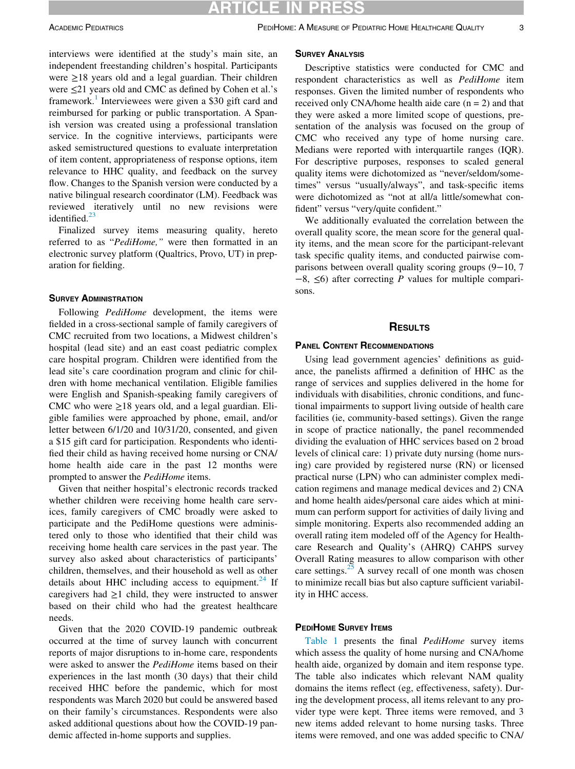interviews were identified at the study's main site, an independent freestanding children's hospital. Participants were ≥18 years old and a legal guardian. Their children were ≤21 years old and CMC as defined by Cohen et al.'s framework.<sup>[1](#page-8-0)</sup> Interviewees were given a \$30 gift card and reimbursed for parking or public transportation. A Spanish version was created using a professional translation service. In the cognitive interviews, participants were asked semistructured questions to evaluate interpretation of item content, appropriateness of response options, item relevance to HHC quality, and feedback on the survey flow. Changes to the Spanish version were conducted by a native bilingual research coordinator (LM). Feedback was reviewed iteratively until no new revisions were identified. $^{23}$  $^{23}$  $^{23}$ 

Finalized survey items measuring quality, hereto referred to as "PediHome," were then formatted in an electronic survey platform (Qualtrics, Provo, UT) in preparation for fielding.

Following *PediHome* development, the items were fielded in a cross-sectional sample of family caregivers of CMC recruited from two locations, a Midwest children's hospital (lead site) and an east coast pediatric complex care hospital program. Children were identified from the lead site's care coordination program and clinic for children with home mechanical ventilation. Eligible families were English and Spanish-speaking family caregivers of CMC who were  $\geq$ 18 years old, and a legal guardian. Eligible families were approached by phone, email, and/or letter between 6/1/20 and 10/31/20, consented, and given a \$15 gift card for participation. Respondents who identified their child as having received home nursing or CNA/ home health aide care in the past 12 months were prompted to answer the PediHome items.

Given that neither hospital's electronic records tracked whether children were receiving home health care services, family caregivers of CMC broadly were asked to participate and the PediHome questions were administered only to those who identified that their child was receiving home health care services in the past year. The survey also asked about characteristics of participants' children, themselves, and their household as well as other details about HHC including access to equipment. $^{24}$  $^{24}$  $^{24}$  If caregivers had  $\geq 1$  child, they were instructed to answer based on their child who had the greatest healthcare needs.

Given that the 2020 COVID-19 pandemic outbreak occurred at the time of survey launch with concurrent reports of major disruptions to in-home care, respondents were asked to answer the PediHome items based on their experiences in the last month (30 days) that their child received HHC before the pandemic, which for most respondents was March 2020 but could be answered based on their family's circumstances. Respondents were also asked additional questions about how the COVID-19 pandemic affected in-home supports and supplies.

Descriptive statistics were conducted for CMC and respondent characteristics as well as PediHome item responses. Given the limited number of respondents who received only CNA/home health aide care  $(n = 2)$  and that they were asked a more limited scope of questions, presentation of the analysis was focused on the group of CMC who received any type of home nursing care. Medians were reported with interquartile ranges (IQR). For descriptive purposes, responses to scaled general quality items were dichotomized as "never/seldom/sometimes" versus "usually/always", and task-specific items were dichotomized as "not at all/a little/somewhat confident" versus "very/quite confident."

We additionally evaluated the correlation between the overall quality score, the mean score for the general quality items, and the mean score for the participant-relevant task specific quality items, and conducted pairwise comparisons between overall quality scoring groups (9−10, 7  $-8$ ,  $\leq 6$ ) after correcting P values for multiple comparisons.

### **RESULTS**

#### **PANEL CONTENT RECOMMENDATIONS**

Using lead government agencies' definitions as guidance, the panelists affirmed a definition of HHC as the range of services and supplies delivered in the home for individuals with disabilities, chronic conditions, and functional impairments to support living outside of health care facilities (ie, community-based settings). Given the range in scope of practice nationally, the panel recommended dividing the evaluation of HHC services based on 2 broad levels of clinical care: 1) private duty nursing (home nursing) care provided by registered nurse (RN) or licensed practical nurse (LPN) who can administer complex medication regimens and manage medical devices and 2) CNA and home health aides/personal care aides which at minimum can perform support for activities of daily living and simple monitoring. Experts also recommended adding an overall rating item modeled off of the Agency for Healthcare Research and Quality's (AHRQ) CAHPS survey Overall Rating measures to allow comparison with other care settings. $25$  A survey recall of one month was chosen to minimize recall bias but also capture sufficient variability in HHC access.

#### **PEDIHOME SURVEY ITEMS**

[Table 1](#page-3-0) presents the final PediHome survey items which assess the quality of home nursing and CNA/home health aide, organized by domain and item response type. The table also indicates which relevant NAM quality domains the items reflect (eg, effectiveness, safety). During the development process, all items relevant to any provider type were kept. Three items were removed, and 3 new items added relevant to home nursing tasks. Three items were removed, and one was added specific to CNA/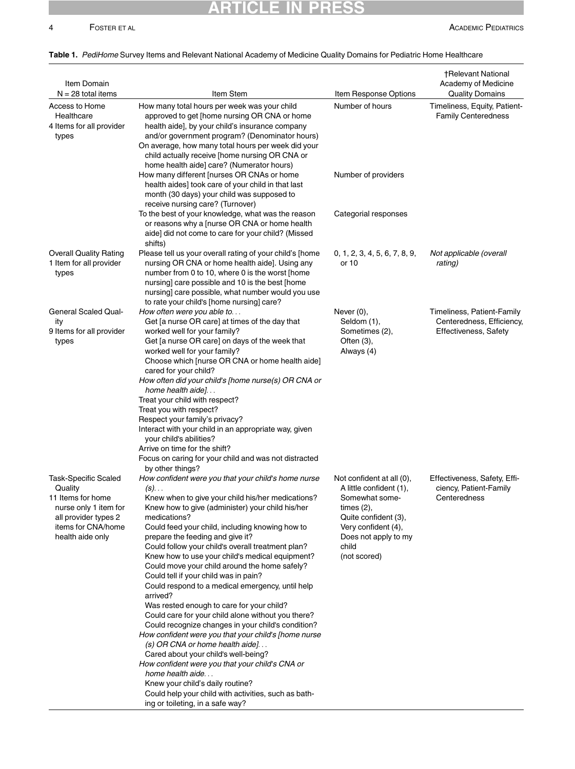# ARTICLE IN PRESS

## 4 FOSTER ET AL **ACADEMIC PEDIATRICS**

### <span id="page-3-0"></span>Table 1. PediHome Survey Items and Relevant National Academy of Medicine Quality Domains for Pediatric Home Healthcare

| Item Domain<br>$N = 28$ total items                                                                                                                    | Item Stem                                                                                                                                                                                                                                                                                                                                                                                                                                                                                                                                                                                                                                                                                                                                                                                                                                                                                                                                                                                                                                                             | Item Response Options                                                                                                                                                                   | <b>†Relevant National</b><br>Academy of Medicine<br><b>Quality Domains</b>              |
|--------------------------------------------------------------------------------------------------------------------------------------------------------|-----------------------------------------------------------------------------------------------------------------------------------------------------------------------------------------------------------------------------------------------------------------------------------------------------------------------------------------------------------------------------------------------------------------------------------------------------------------------------------------------------------------------------------------------------------------------------------------------------------------------------------------------------------------------------------------------------------------------------------------------------------------------------------------------------------------------------------------------------------------------------------------------------------------------------------------------------------------------------------------------------------------------------------------------------------------------|-----------------------------------------------------------------------------------------------------------------------------------------------------------------------------------------|-----------------------------------------------------------------------------------------|
| Access to Home<br>Healthcare<br>4 Items for all provider<br>types                                                                                      | How many total hours per week was your child<br>approved to get [home nursing OR CNA or home<br>health aide], by your child's insurance company<br>and/or government program? (Denominator hours)<br>On average, how many total hours per week did your<br>child actually receive [home nursing OR CNA or<br>home health aide] care? (Numerator hours)                                                                                                                                                                                                                                                                                                                                                                                                                                                                                                                                                                                                                                                                                                                | Number of hours                                                                                                                                                                         | Timeliness, Equity, Patient-<br><b>Family Centeredness</b>                              |
|                                                                                                                                                        | How many different [nurses OR CNAs or home<br>health aides] took care of your child in that last<br>month (30 days) your child was supposed to<br>receive nursing care? (Turnover)<br>To the best of your knowledge, what was the reason                                                                                                                                                                                                                                                                                                                                                                                                                                                                                                                                                                                                                                                                                                                                                                                                                              | Number of providers<br>Categorial responses                                                                                                                                             |                                                                                         |
|                                                                                                                                                        | or reasons why a [nurse OR CNA or home health<br>aide] did not come to care for your child? (Missed<br>shifts)                                                                                                                                                                                                                                                                                                                                                                                                                                                                                                                                                                                                                                                                                                                                                                                                                                                                                                                                                        |                                                                                                                                                                                         |                                                                                         |
| <b>Overall Quality Rating</b><br>1 Item for all provider<br>types                                                                                      | Please tell us your overall rating of your child's [home<br>nursing OR CNA or home health aide]. Using any<br>number from 0 to 10, where 0 is the worst [home<br>nursing] care possible and 10 is the best [home<br>nursing] care possible, what number would you use<br>to rate your child's [home nursing] care?                                                                                                                                                                                                                                                                                                                                                                                                                                                                                                                                                                                                                                                                                                                                                    | 0, 1, 2, 3, 4, 5, 6, 7, 8, 9,<br>or 10                                                                                                                                                  | Not applicable (overall<br>rating)                                                      |
| <b>General Scaled Qual-</b><br>ity<br>9 Items for all provider<br>types                                                                                | How often were you able to<br>Get [a nurse OR care] at times of the day that<br>worked well for your family?<br>Get [a nurse OR care] on days of the week that<br>worked well for your family?<br>Choose which [nurse OR CNA or home health aide]<br>cared for your child?<br>How often did your child's [home nurse(s) OR CNA or<br>home health aide]<br>Treat your child with respect?<br>Treat you with respect?<br>Respect your family's privacy?<br>Interact with your child in an appropriate way, given<br>your child's abilities?<br>Arrive on time for the shift?<br>Focus on caring for your child and was not distracted                                                                                                                                                                                                                                                                                                                                                                                                                                   | Never $(0)$ ,<br>Seldom (1),<br>Sometimes (2),<br>Often $(3)$ ,<br>Always (4)                                                                                                           | Timeliness, Patient-Family<br>Centeredness, Efficiency,<br><b>Effectiveness, Safety</b> |
| <b>Task-Specific Scaled</b><br>Quality<br>11 Items for home<br>nurse only 1 item for<br>all provider types 2<br>items for CNA/home<br>health aide only | by other things?<br>How confident were you that your child's home nurse<br>$(s)$<br>Knew when to give your child his/her medications?<br>Knew how to give (administer) your child his/her<br>medications?<br>Could feed your child, including knowing how to<br>prepare the feeding and give it?<br>Could follow your child's overall treatment plan?<br>Knew how to use your child's medical equipment?<br>Could move your child around the home safely?<br>Could tell if your child was in pain?<br>Could respond to a medical emergency, until help<br>arrived?<br>Was rested enough to care for your child?<br>Could care for your child alone without you there?<br>Could recognize changes in your child's condition?<br>How confident were you that your child's [home nurse<br>(s) OR CNA or home health aide]<br>Cared about your child's well-being?<br>How confident were you that your child's CNA or<br>home health aide<br>Knew your child's daily routine?<br>Could help your child with activities, such as bath-<br>ing or toileting, in a safe way? | Not confident at all (0),<br>A little confident (1),<br>Somewhat some-<br>times $(2)$ ,<br>Quite confident (3),<br>Very confident (4),<br>Does not apply to my<br>child<br>(not scored) | Effectiveness, Safety, Effi-<br>ciency, Patient-Family<br>Centeredness                  |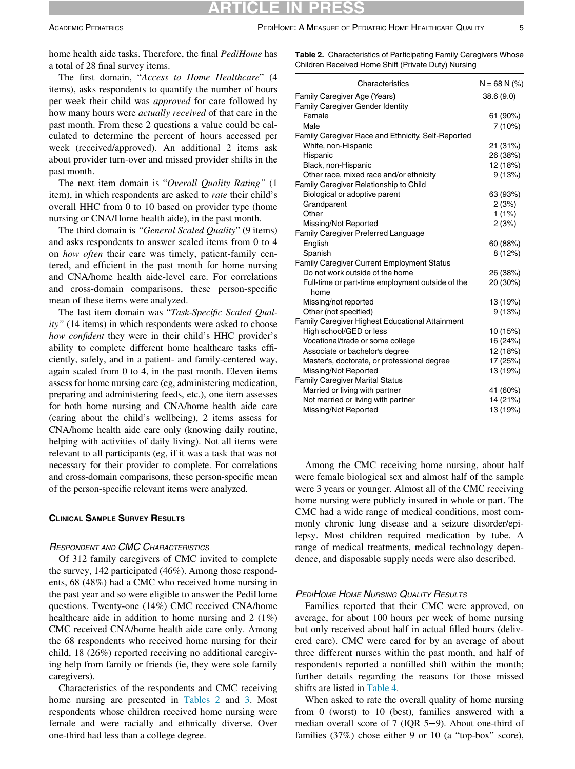<span id="page-4-0"></span>home health aide tasks. Therefore, the final PediHome has a total of 28 final survey items.

The first domain, "Access to Home Healthcare" (4 items), asks respondents to quantify the number of hours per week their child was approved for care followed by how many hours were actually received of that care in the past month. From these 2 questions a value could be calculated to determine the percent of hours accessed per week (received/approved). An additional 2 items ask about provider turn-over and missed provider shifts in the past month.

The next item domain is "Overall Quality Rating" (1 item), in which respondents are asked to rate their child's overall HHC from 0 to 10 based on provider type (home nursing or CNA/Home health aide), in the past month.

The third domain is "General Scaled Quality" (9 items) and asks respondents to answer scaled items from 0 to 4 on how often their care was timely, patient-family centered, and efficient in the past month for home nursing and CNA/home health aide-level care. For correlations and cross-domain comparisons, these person-specific mean of these items were analyzed.

The last item domain was "Task-Specific Scaled Ouality" (14 items) in which respondents were asked to choose how confident they were in their child's HHC provider's ability to complete different home healthcare tasks efficiently, safely, and in a patient- and family-centered way, again scaled from 0 to 4, in the past month. Eleven items assess for home nursing care (eg, administering medication, preparing and administering feeds, etc.), one item assesses for both home nursing and CNA/home health aide care (caring about the child's wellbeing), 2 items assess for CNA/home health aide care only (knowing daily routine, helping with activities of daily living). Not all items were relevant to all participants (eg, if it was a task that was not necessary for their provider to complete. For correlations and cross-domain comparisons, these person-specific mean of the person-specific relevant items were analyzed.

#### **CLINICAL SAMPLE SURVEY RESULTS** CLINICAL SAMPLE SURVEY RESULTS

### RESPONDENT AND CMC CHARACTERISTICS

Of 312 family caregivers of CMC invited to complete the survey, 142 participated (46%). Among those respondents, 68 (48%) had a CMC who received home nursing in the past year and so were eligible to answer the PediHome questions. Twenty-one (14%) CMC received CNA/home healthcare aide in addition to home nursing and 2 (1%) CMC received CNA/home health aide care only. Among the 68 respondents who received home nursing for their child, 18 (26%) reported receiving no additional caregiving help from family or friends (ie, they were sole family caregivers).

Characteristics of the respondents and CMC receiving home nursing are presented in [Tables 2](#page-4-0) and [3](#page-5-0). Most respondents whose children received home nursing were female and were racially and ethnically diverse. Over one-third had less than a college degree.

Table 2. Characteristics of Participating Family Caregivers Whose Children Received Home Shift (Private Duty) Nursing

| Characteristics                                          | $N = 68 N$ (%) |
|----------------------------------------------------------|----------------|
| Family Caregiver Age (Years)                             | 38.6(9.0)      |
| Family Caregiver Gender Identity                         |                |
| Female                                                   | 61 (90%)       |
| Male                                                     | 7(10%)         |
| Family Caregiver Race and Ethnicity, Self-Reported       |                |
| White, non-Hispanic                                      | 21 (31%)       |
| Hispanic                                                 | 26 (38%)       |
| Black, non-Hispanic                                      | 12 (18%)       |
| Other race, mixed race and/or ethnicity                  | 9(13%)         |
| Family Caregiver Relationship to Child                   |                |
| Biological or adoptive parent                            | 63 (93%)       |
| Grandparent                                              | 2(3%)          |
| Other                                                    | 1(1%)          |
| Missing/Not Reported                                     | 2(3%)          |
| Family Caregiver Preferred Language                      |                |
| English                                                  | 60 (88%)       |
| Spanish                                                  | 8(12%)         |
| <b>Family Caregiver Current Employment Status</b>        |                |
| Do not work outside of the home                          | 26 (38%)       |
| Full-time or part-time employment outside of the<br>home | 20 (30%)       |
| Missing/not reported                                     | 13 (19%)       |
| Other (not specified)                                    | 9(13%)         |
| <b>Family Caregiver Highest Educational Attainment</b>   |                |
| High school/GED or less                                  | 10 (15%)       |
| Vocational/trade or some college                         | 16 (24%)       |
| Associate or bachelor's degree                           | 12 (18%)       |
| Master's, doctorate, or professional degree              | 17 (25%)       |
| Missing/Not Reported                                     | 13 (19%)       |
| <b>Family Caregiver Marital Status</b>                   |                |
| Married or living with partner                           | 41 (60%)       |
| Not married or living with partner                       | 14 (21%)       |
| Missing/Not Reported                                     | 13 (19%)       |

Among the CMC receiving home nursing, about half were female biological sex and almost half of the sample were 3 years or younger. Almost all of the CMC receiving home nursing were publicly insured in whole or part. The CMC had a wide range of medical conditions, most commonly chronic lung disease and a seizure disorder/epilepsy. Most children required medication by tube. A range of medical treatments, medical technology dependence, and disposable supply needs were also described.

#### PEDIHOME HOME NURSING QUALITY RESULTS

Families reported that their CMC were approved, on average, for about 100 hours per week of home nursing but only received about half in actual filled hours (delivered care). CMC were cared for by an average of about three different nurses within the past month, and half of respondents reported a nonfilled shift within the month; further details regarding the reasons for those missed shifts are listed in [Table 4](#page-6-0).

When asked to rate the overall quality of home nursing from 0 (worst) to 10 (best), families answered with a median overall score of 7 (IQR 5−9). About one-third of families (37%) chose either 9 or 10 (a "top-box" score),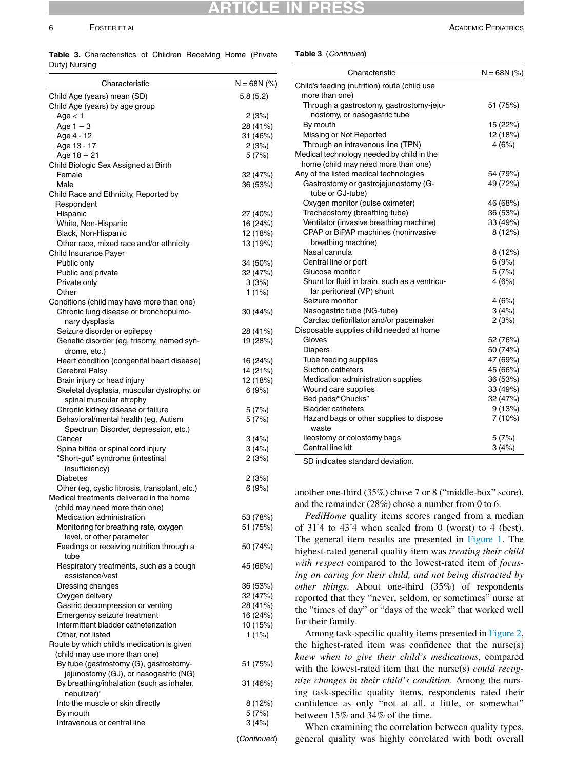# **CL** ARTICLE IN PRESS

<span id="page-5-0"></span>Table 3. Characteristics of Children Receiving Home (Private Duty) Nursing

| Characteristic                                                                     | $N = 68N$ (%)        |
|------------------------------------------------------------------------------------|----------------------|
| Child Age (years) mean (SD)<br>Child Age (years) by age group                      | 5.8(5.2)             |
| Age < 1                                                                            | 2(3%)                |
| Age $1 - 3$                                                                        | 28 (41%)             |
| Age 4 - 12                                                                         | 31 (46%)             |
| Age 13 - 17                                                                        | 2(3%)                |
| Age $18 - 21$                                                                      | 5(7%)                |
| Child Biologic Sex Assigned at Birth                                               |                      |
| Female<br>Male                                                                     | 32 (47%)             |
| Child Race and Ethnicity, Reported by                                              | 36 (53%)             |
| Respondent                                                                         |                      |
| Hispanic                                                                           | 27 (40%)             |
| White, Non-Hispanic                                                                | 16 (24%)             |
| Black, Non-Hispanic                                                                | 12 (18%)             |
| Other race, mixed race and/or ethnicity                                            | 13 (19%)             |
| Child Insurance Payer                                                              |                      |
| Public only                                                                        | 34 (50%)             |
| Public and private                                                                 | 32 (47%)             |
| Private only                                                                       | 3(3%)                |
| Other                                                                              | $1(1\%)$             |
| Conditions (child may have more than one)<br>Chronic lung disease or bronchopulmo- |                      |
| nary dysplasia                                                                     | 30 (44%)             |
| Seizure disorder or epilepsy                                                       | 28 (41%)             |
| Genetic disorder (eg, trisomy, named syn-                                          | 19 (28%)             |
| drome, etc.)                                                                       |                      |
| Heart condition (congenital heart disease)                                         | 16 (24%)             |
| Cerebral Palsy                                                                     | 14 (21%)             |
| Brain injury or head injury                                                        | 12 (18%)             |
| Skeletal dysplasia, muscular dystrophy, or<br>spinal muscular atrophy              | 6(9%)                |
| Chronic kidney disease or failure                                                  | 5(7%)                |
| Behavioral/mental health (eg, Autism                                               | 5(7%)                |
| Spectrum Disorder, depression, etc.)                                               |                      |
| Cancer                                                                             | 3(4%)                |
| Spina bifida or spinal cord injury                                                 | 3(4%)                |
| "Short-gut" syndrome (intestinal                                                   | 2(3%)                |
| insufficiency)<br><b>Diabetes</b>                                                  | 2(3%)                |
| Other (eg, cystic fibrosis, transplant, etc.)                                      | 6(9%)                |
| Medical treatments delivered in the home                                           |                      |
| (child may need more than one)                                                     |                      |
| Medication administration                                                          | 53 (78%)             |
| Monitoring for breathing rate, oxygen                                              | 51 (75%)             |
| level, or other parameter                                                          |                      |
| Feedings or receiving nutrition through a                                          | 50 (74%)             |
| tube                                                                               |                      |
| Respiratory treatments, such as a cough                                            | 45 (66%)             |
| assistance/vest                                                                    |                      |
| Dressing changes<br>Oxygen delivery                                                | 36 (53%)<br>32 (47%) |
| Gastric decompression or venting                                                   | 28 (41%)             |
| Emergency seizure treatment                                                        | 16 (24%)             |
| Intermittent bladder catheterization                                               | 10 (15%)             |
| Other, not listed                                                                  | 1(1%)                |
| Route by which child's medication is given                                         |                      |
| (child may use more than one)                                                      |                      |
| By tube (gastrostomy (G), gastrostomy-                                             | 51 (75%)             |
| jejunostomy (GJ), or nasogastric (NG)                                              |                      |
| By breathing/inhalation (such as inhaler,<br>nebulizer)"                           | 31 (46%)             |
| Into the muscle or skin directly                                                   | 8 (12%)              |
| By mouth                                                                           | 5(7%)                |
| Intravenous or central line                                                        | 3(4%)                |
|                                                                                    | (Continued)          |

Table 3. (Continued)

| Characteristic                                  | $N = 68N$ (%) |
|-------------------------------------------------|---------------|
| Child's feeding (nutrition) route (child use    |               |
| more than one)                                  |               |
| Through a gastrostomy, gastrostomy-jeju-        | 51 (75%)      |
| nostomy, or nasogastric tube                    |               |
| By mouth                                        | 15 (22%)      |
| Missing or Not Reported                         | 12 (18%)      |
| Through an intravenous line (TPN)               | 4 (6%)        |
| Medical technology needed by child in the       |               |
| home (child may need more than one)             |               |
| Any of the listed medical technologies          | 54 (79%)      |
| Gastrostomy or gastrojejunostomy (G-            | 49 (72%)      |
| tube or GJ-tube)                                |               |
| Oxygen monitor (pulse oximeter)                 | 46 (68%)      |
| Tracheostomy (breathing tube)                   | 36 (53%)      |
| Ventilator (invasive breathing machine)         | 33 (49%)      |
| CPAP or BiPAP machines (noninvasive             | 8(12%)        |
| breathing machine)                              |               |
| Nasal cannula                                   | 8(12%)        |
| Central line or port                            | 6(9%)         |
| Glucose monitor                                 | 5(7%)         |
| Shunt for fluid in brain, such as a ventricu-   | 4(6%)         |
| lar peritoneal (VP) shunt                       |               |
| Seizure monitor                                 | 4(6%)         |
| Nasogastric tube (NG-tube)                      | 3(4%)         |
| Cardiac defibrillator and/or pacemaker          | 2(3%)         |
| Disposable supplies child needed at home        |               |
| Gloves                                          | 52 (76%)      |
| <b>Diapers</b>                                  | 50 (74%)      |
| Tube feeding supplies                           | 47 (69%)      |
| <b>Suction catheters</b>                        | 45 (66%)      |
| Medication administration supplies              | 36 (53%)      |
| Wound care supplies                             | 33 (49%)      |
| Bed pads/"Chucks"                               | 32 (47%)      |
| <b>Bladder catheters</b>                        | 9(13%)        |
| Hazard bags or other supplies to dispose        | 7 (10%)       |
| waste                                           |               |
| lleostomy or colostomy bags<br>Central line kit | 5(7%)         |
|                                                 | 3(4%)         |

SD indicates standard deviation.

another one-third (35%) chose 7 or 8 ("middle-box" score), and the remainder (28%) chose a number from 0 to 6.

PediHome quality items scores ranged from a median of 31- 4 to 43- 4 when scaled from 0 (worst) to 4 (best). The general item results are presented in [Figure 1.](#page-6-1) The highest-rated general quality item was treating their child with respect compared to the lowest-rated item of focusing on caring for their child, and not being distracted by other things. About one-third (35%) of respondents reported that they "never, seldom, or sometimes" nurse at the "times of day" or "days of the week" that worked well for their family.

Among task-specific quality items presented in [Figure 2,](#page-7-0) the highest-rated item was confidence that the nurse(s) knew when to give their child's medications, compared with the lowest-rated item that the nurse(s) could recognize changes in their child's condition. Among the nursing task-specific quality items, respondents rated their confidence as only "not at all, a little, or somewhat" between 15% and 34% of the time.

When examining the correlation between quality types, general quality was highly correlated with both overall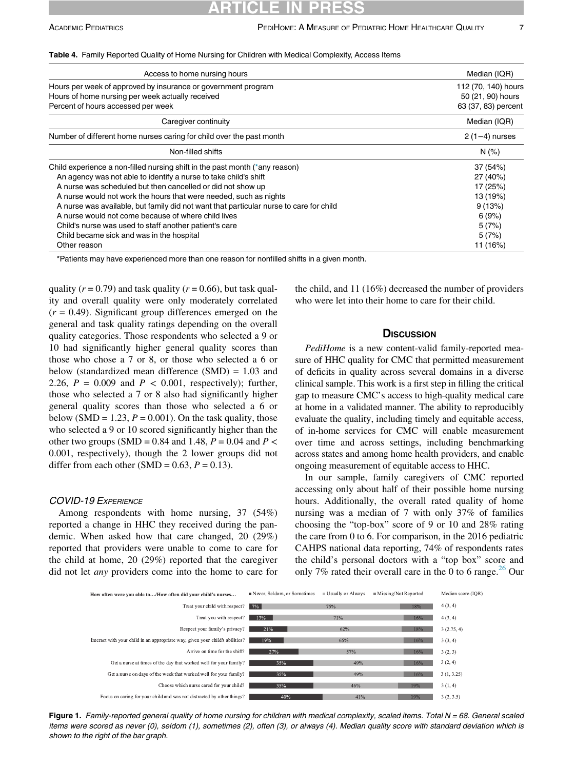| Access to home nursing hours                                                           | Median (IQR)        |
|----------------------------------------------------------------------------------------|---------------------|
| Hours per week of approved by insurance or government program                          | 112 (70, 140) hours |
| Hours of home nursing per week actually received                                       | 50 (21, 90) hours   |
| Percent of hours accessed per week                                                     | 63 (37, 83) percent |
| Caregiver continuity                                                                   | Median (IQR)        |
| Number of different home nurses caring for child over the past month                   | $2(1-4)$ nurses     |
| Non-filled shifts                                                                      | N(% )               |
| Child experience a non-filled nursing shift in the past month (*any reason)            | 37 (54%)            |
| An agency was not able to identify a nurse to take child's shift                       | 27 (40%)            |
| A nurse was scheduled but then cancelled or did not show up                            | 17 (25%)            |
| A nurse would not work the hours that were needed, such as nights                      | 13 (19%)            |
| A nurse was available, but family did not want that particular nurse to care for child | 9(13%)              |
| A nurse would not come because of where child lives                                    | 6(9%)               |
| Child's nurse was used to staff another patient's care                                 | 5(7%)               |
| Child became sick and was in the hospital                                              | 5(7%)               |
| Other reason                                                                           | 11 (16%)            |

#### <span id="page-6-0"></span>Table 4. Family Reported Quality of Home Nursing for Children with Medical Complexity, Access Items

\*Patients may have experienced more than one reason for nonfilled shifts in a given month.

<span id="page-6-2"></span>quality ( $r = 0.79$ ) and task quality ( $r = 0.66$ ), but task quality and overall quality were only moderately correlated  $(r = 0.49)$ . Significant group differences emerged on the general and task quality ratings depending on the overall quality categories. Those respondents who selected a 9 or 10 had significantly higher general quality scores than those who chose a 7 or 8, or those who selected a 6 or below (standardized mean difference (SMD) = 1.03 and 2.26,  $P = 0.009$  and  $P < 0.001$ , respectively); further, those who selected a 7 or 8 also had significantly higher general quality scores than those who selected a 6 or below (SMD = 1.23,  $P = 0.001$ ). On the task quality, those who selected a 9 or 10 scored significantly higher than the other two groups (SMD = 0.84 and 1.48,  $P = 0.04$  and  $P <$ 0.001, respectively), though the 2 lower groups did not differ from each other (SMD =  $0.63$ ,  $P = 0.13$ ).

#### COVID-19 EXPERIENCE

Among respondents with home nursing, 37 (54%) reported a change in HHC they received during the pandemic. When asked how that care changed, 20 (29%) reported that providers were unable to come to care for the child at home, 20 (29%) reported that the caregiver did not let any providers come into the home to care for the child, and 11 (16%) decreased the number of providers who were let into their home to care for their child.

### **DISCUSSION**

PediHome is a new content-valid family-reported measure of HHC quality for CMC that permitted measurement of deficits in quality across several domains in a diverse clinical sample. This work is a first step in filling the critical gap to measure CMC's access to high-quality medical care at home in a validated manner. The ability to reproducibly evaluate the quality, including timely and equitable access, of in-home services for CMC will enable measurement over time and across settings, including benchmarking across states and among home health providers, and enable ongoing measurement of equitable access to HHC.

In our sample, family caregivers of CMC reported accessing only about half of their possible home nursing hours. Additionally, the overall rated quality of home nursing was a median of 7 with only 37% of families choosing the "top-box" score of 9 or 10 and 28% rating the care from 0 to 6. For comparison, in the 2016 pediatric CAHPS national data reporting, 74% of respondents rates the child's personal doctors with a "top box" score and only 7% rated their overall care in the 0 to 6 range.<sup>[26](#page-9-4)</sup> Our

<span id="page-6-1"></span>

Figure 1. Family-reported general quality of home nursing for children with medical complexity, scaled items. Total  $N = 68$ . General scaled items were scored as never (0), seldom (1), sometimes (2), often (3), or always (4). Median quality score with standard deviation which is shown to the right of the bar graph.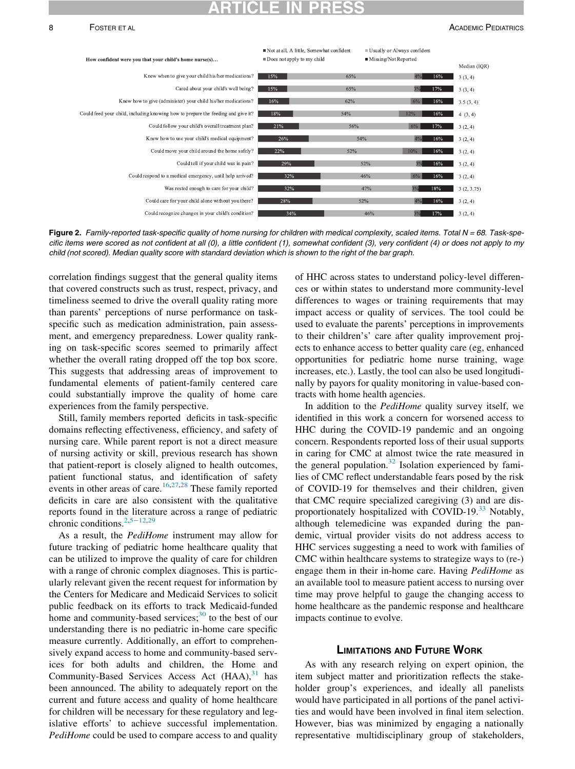#### <span id="page-7-0"></span>8 FOSTER ET AL ACADEMIC PEDIATRICS



Figure 2. Family-reported task-specific quality of home nursing for children with medical complexity, scaled items. Total  $N = 68$ . Task-specific items were scored as not confident at all (0), a little confident (1), somewhat confident (3), very confident (4) or does not apply to my child (not scored). Median quality score with standard deviation which is shown to the right of the bar graph.

correlation findings suggest that the general quality items that covered constructs such as trust, respect, privacy, and timeliness seemed to drive the overall quality rating more than parents' perceptions of nurse performance on taskspecific such as medication administration, pain assessment, and emergency preparedness. Lower quality ranking on task-specific scores seemed to primarily affect whether the overall rating dropped off the top box score. This suggests that addressing areas of improvement to fundamental elements of patient-family centered care could substantially improve the quality of home care experiences from the family perspective.

Still, family members reported deficits in task-specific domains reflecting effectiveness, efficiency, and safety of nursing care. While parent report is not a direct measure of nursing activity or skill, previous research has shown that patient-report is closely aligned to health outcomes, patient functional status, and identification of safety events in other areas of care.<sup>[16](#page-8-8)[,27,](#page-9-5)[28](#page-9-6)</sup> These family reported deficits in care are also consistent with the qualitative reports found in the literature across a range of pediatric chronic conditions.<sup>[2](#page-8-1),5−[12,](#page-8-4)[29](#page-9-7)</sup>

As a result, the *PediHome* instrument may allow for future tracking of pediatric home healthcare quality that can be utilized to improve the quality of care for children with a range of chronic complex diagnoses. This is particularly relevant given the recent request for information by the Centers for Medicare and Medicaid Services to solicit public feedback on its efforts to track Medicaid-funded home and community-based services; $30$  to the best of our understanding there is no pediatric in-home care specific measure currently. Additionally, an effort to comprehensively expand access to home and community-based services for both adults and children, the Home and Community-Based Services Access Act (HAA), [31](#page-9-9) has been announced. The ability to adequately report on the current and future access and quality of home healthcare for children will be necessary for these regulatory and legislative efforts' to achieve successful implementation. PediHome could be used to compare access to and quality

of HHC across states to understand policy-level differences or within states to understand more community-level differences to wages or training requirements that may impact access or quality of services. The tool could be used to evaluate the parents' perceptions in improvements to their children's' care after quality improvement projects to enhance access to better quality care (eg, enhanced opportunities for pediatric home nurse training, wage increases, etc.). Lastly, the tool can also be used longitudinally by payors for quality monitoring in value-based contracts with home health agencies.

In addition to the PediHome quality survey itself, we identified in this work a concern for worsened access to HHC during the COVID-19 pandemic and an ongoing concern. Respondents reported loss of their usual supports in caring for CMC at almost twice the rate measured in the general population.<sup>[32](#page-9-10)</sup> Isolation experienced by families of CMC reflect understandable fears posed by the risk of COVID-19 for themselves and their children, given that CMC require specialized caregiving (3) and are disproportionately hospitalized with COVID-19. $33$  Notably, although telemedicine was expanded during the pandemic, virtual provider visits do not address access to HHC services suggesting a need to work with families of CMC within healthcare systems to strategize ways to (re-) engage them in their in-home care. Having PediHome as an available tool to measure patient access to nursing over time may prove helpful to gauge the changing access to home healthcare as the pandemic response and healthcare impacts continue to evolve.

As with any research relying on expert opinion, the item subject matter and prioritization reflects the stakeholder group's experiences, and ideally all panelists would have participated in all portions of the panel activities and would have been involved in final item selection. However, bias was minimized by engaging a nationally representative multidisciplinary group of stakeholders,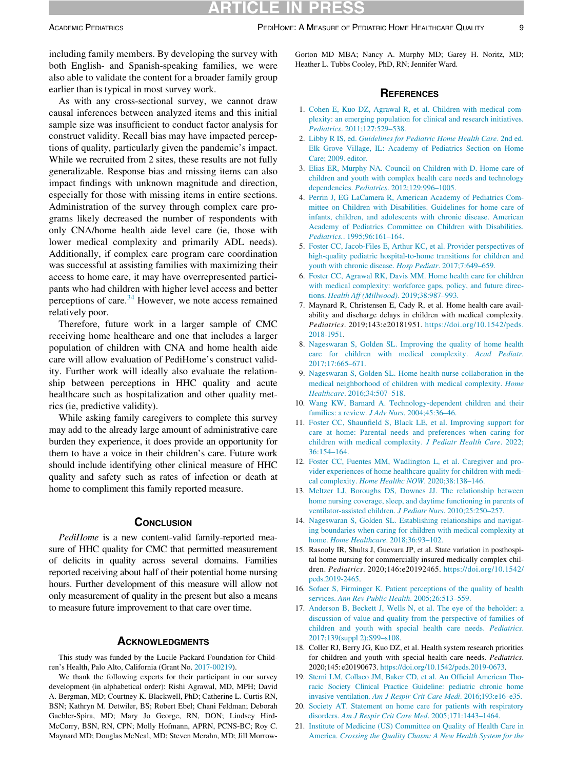including family members. By developing the survey with both English- and Spanish-speaking families, we were also able to validate the content for a broader family group earlier than is typical in most survey work.

<span id="page-8-3"></span><span id="page-8-2"></span><span id="page-8-1"></span><span id="page-8-0"></span>As with any cross-sectional survey, we cannot draw causal inferences between analyzed items and this initial sample size was insufficient to conduct factor analysis for construct validity. Recall bias may have impacted perceptions of quality, particularly given the pandemic's impact. While we recruited from 2 sites, these results are not fully generalizable. Response bias and missing items can also impact findings with unknown magnitude and direction, especially for those with missing items in entire sections. Administration of the survey through complex care programs likely decreased the number of respondents with only CNA/home health aide level care (ie, those with lower medical complexity and primarily ADL needs). Additionally, if complex care program care coordination was successful at assisting families with maximizing their access to home care, it may have overrepresented participants who had children with higher level access and better perceptions of care. $34$  However, we note access remained relatively poor.

<span id="page-8-5"></span><span id="page-8-4"></span>Therefore, future work in a larger sample of CMC receiving home healthcare and one that includes a larger population of children with CNA and home health aide care will allow evaluation of PediHome's construct validity. Further work will ideally also evaluate the relationship between perceptions in HHC quality and acute healthcare such as hospitalization and other quality metrics (ie, predictive validity).

<span id="page-8-13"></span><span id="page-8-6"></span>While asking family caregivers to complete this survey may add to the already large amount of administrative care burden they experience, it does provide an opportunity for them to have a voice in their children's care. Future work should include identifying other clinical measure of HHC quality and safety such as rates of infection or death at home to compliment this family reported measure.

### **CONCLUSION**

<span id="page-8-8"></span><span id="page-8-7"></span>PediHome is a new content-valid family-reported measure of HHC quality for CMC that permitted measurement of deficits in quality across several domains. Families reported receiving about half of their potential home nursing hours. Further development of this measure will allow not only measurement of quality in the present but also a means to measure future improvement to that care over time.

<span id="page-8-14"></span><span id="page-8-10"></span><span id="page-8-9"></span>This study was funded by the Lucile Packard Foundation for Children's Health, Palo Alto, California (Grant No. [2017-00219](#page-8-14)).

<span id="page-8-12"></span><span id="page-8-11"></span>We thank the following experts for their participant in our survey development (in alphabetical order): Rishi Agrawal, MD, MPH; David A. Bergman, MD; Courtney K. Blackwell, PhD; Catherine L. Curtis RN, BSN; Kathryn M. Detwiler, BS; Robert Ebel; Chani Feldman; Deborah Gaebler-Spira, MD; Mary Jo George, RN, DON; Lindsey Hird-McCorry, BSN, RN, CPN; Molly Hofmann, APRN, PCNS-BC; Roy C. Maynard MD; Douglas McNeal, MD; Steven Merahn, MD; Jill Morrow-

Gorton MD MBA; Nancy A. Murphy MD; Garey H. Noritz, MD; Heather L. Tubbs Cooley, PhD, RN; Jennifer Ward.

#### **REFERENCES**

- 1. [Cohen E, Kuo DZ, Agrawal R, et al. Children with medical com](http://refhub.elsevier.com/S1876-2859(22)00227-3/sbref0001)[plexity: an emerging population for clinical and research initiatives.](http://refhub.elsevier.com/S1876-2859(22)00227-3/sbref0001) Pediatrics[. 2011;127:529–538.](http://refhub.elsevier.com/S1876-2859(22)00227-3/sbref0001)
- 2. Libby R IS, ed. [Guidelines for Pediatric Home Health Care](http://refhub.elsevier.com/S1876-2859(22)00227-3/sbref0002). 2nd ed. [Elk Grove Village, IL: Academy of Pediatrics Section on Home](http://refhub.elsevier.com/S1876-2859(22)00227-3/sbref0002) [Care; 2009. editor.](http://refhub.elsevier.com/S1876-2859(22)00227-3/sbref0002)
- 3. [Elias ER, Murphy NA. Council on Children with D. Home care of](http://refhub.elsevier.com/S1876-2859(22)00227-3/sbref0003) [children and youth with complex health care needs and technology](http://refhub.elsevier.com/S1876-2859(22)00227-3/sbref0003) dependencies. Pediatrics[. 2012;129:996–1005.](http://refhub.elsevier.com/S1876-2859(22)00227-3/sbref0003)
- 4. [Perrin J, EG LaCamera R, American Academy of Pediatrics Com](http://refhub.elsevier.com/S1876-2859(22)00227-3/sbref0004)[mittee on Children with Disabilities. Guidelines for home care of](http://refhub.elsevier.com/S1876-2859(22)00227-3/sbref0004) [infants, children, and adolescents with chronic disease. American](http://refhub.elsevier.com/S1876-2859(22)00227-3/sbref0004) [Academy of Pediatrics Committee on Children with Disabilities.](http://refhub.elsevier.com/S1876-2859(22)00227-3/sbref0004) Pediatrics.[. 1995;96:161–164.](http://refhub.elsevier.com/S1876-2859(22)00227-3/sbref0004)
- 5. [Foster CC, Jacob-Files E, Arthur KC, et al. Provider perspectives of](http://refhub.elsevier.com/S1876-2859(22)00227-3/sbref0005) [high-quality pediatric hospital-to-home transitions for children and](http://refhub.elsevier.com/S1876-2859(22)00227-3/sbref0005) [youth with chronic disease.](http://refhub.elsevier.com/S1876-2859(22)00227-3/sbref0005) Hosp Pediatr. 2017;7:649-659.
- 6. [Foster CC, Agrawal RK, Davis MM. Home health care for children](http://refhub.elsevier.com/S1876-2859(22)00227-3/sbref0006) [with medical complexity: workforce gaps, policy, and future direc](http://refhub.elsevier.com/S1876-2859(22)00227-3/sbref0006)tions. [Health Aff \(Millwood\)](http://refhub.elsevier.com/S1876-2859(22)00227-3/sbref0006). 2019;38:987–993.
- 7. Maynard R, Christensen E, Cady R, et al. Home health care availability and discharge delays in children with medical complexity. Pediatrics. 2019;143:e20181951. [https://doi.org/10.1542/peds.](https://doi.org/10.1542/peds.<?A3B2 re3j?>2018-1951) [2018-1951.](https://doi.org/10.1542/peds.<?A3B2 re3j?>2018-1951)
- 8. [Nageswaran S, Golden SL. Improving the quality of home health](http://refhub.elsevier.com/S1876-2859(22)00227-3/sbref0008) [care for children with medical complexity.](http://refhub.elsevier.com/S1876-2859(22)00227-3/sbref0008) Acad Pediatr. [2017;17:665–671.](http://refhub.elsevier.com/S1876-2859(22)00227-3/sbref0008)
- 9. [Nageswaran S, Golden SL. Home health nurse collaboration in the](http://refhub.elsevier.com/S1876-2859(22)00227-3/sbref0009) [medical neighborhood of children with medical complexity.](http://refhub.elsevier.com/S1876-2859(22)00227-3/sbref0009) Home Healthcare[. 2016;34:507–518.](http://refhub.elsevier.com/S1876-2859(22)00227-3/sbref0009)
- 10. [Wang KW, Barnard A. Technology-dependent children and their](http://refhub.elsevier.com/S1876-2859(22)00227-3/sbref0010) [families: a review.](http://refhub.elsevier.com/S1876-2859(22)00227-3/sbref0010) J Adv Nurs. 2004;45:36–46.
- 11. Foster CC, Shaunfield S, Black [LE, et al. Improving support for](http://refhub.elsevier.com/S1876-2859(22)00227-3/sbref0011) [care at home: Parental needs and preferences when caring for](http://refhub.elsevier.com/S1876-2859(22)00227-3/sbref0011) [children with medical complexity.](http://refhub.elsevier.com/S1876-2859(22)00227-3/sbref0011) J Pediatr Health Care. 2022; [36:154–164.](http://refhub.elsevier.com/S1876-2859(22)00227-3/sbref0011)
- 12. [Foster CC, Fuentes MM, Wadlington L, et al. Caregiver and pro](http://refhub.elsevier.com/S1876-2859(22)00227-3/sbref0012)[vider experiences of home healthcare quality for children with medi](http://refhub.elsevier.com/S1876-2859(22)00227-3/sbref0012)cal complexity. [Home Healthc NOW](http://refhub.elsevier.com/S1876-2859(22)00227-3/sbref0012). 2020;38:138–146.
- 13. [Meltzer LJ, Boroughs DS, Downes JJ. The relationship between](http://refhub.elsevier.com/S1876-2859(22)00227-3/sbref0013) [home nursing coverage, sleep, and daytime functioning in parents of](http://refhub.elsevier.com/S1876-2859(22)00227-3/sbref0013) [ventilator-assisted children.](http://refhub.elsevier.com/S1876-2859(22)00227-3/sbref0013) J Pediatr Nurs. 2010;25:250–257.
- 14. [Nageswaran S, Golden SL. Establishing relationships and navigat](http://refhub.elsevier.com/S1876-2859(22)00227-3/sbref0014)[ing boundaries when caring for children with medical complexity at](http://refhub.elsevier.com/S1876-2859(22)00227-3/sbref0014) home. Home Healthcare[. 2018;36:93–102.](http://refhub.elsevier.com/S1876-2859(22)00227-3/sbref0014)
- 15. Rasooly IR, Shults J, Guevara JP, et al. State variation in posthospital home nursing for commercially insured medically complex children. Pediatrics. 2020;146:e20192465. [https://doi.org/10.1542/](https://doi.org/10.1542/peds.2019-2465) [peds.2019-2465](https://doi.org/10.1542/peds.2019-2465).
- 16. [Sofaer S, Firminger K. Patient perceptions of the quality of health](http://refhub.elsevier.com/S1876-2859(22)00227-3/sbref0016) services. [Ann Rev Public Health](http://refhub.elsevier.com/S1876-2859(22)00227-3/sbref0016). 2005;26:513-559.
- 17. [Anderson B, Beckett J, Wells N, et al. The eye of the beholder: a](http://refhub.elsevier.com/S1876-2859(22)00227-3/sbref0017) [discussion of value and quality from the perspective of families of](http://refhub.elsevier.com/S1876-2859(22)00227-3/sbref0017) [children and youth with special health care needs.](http://refhub.elsevier.com/S1876-2859(22)00227-3/sbref0017) Pediatrics. [2017;139\(suppl 2\):S99–s108.](http://refhub.elsevier.com/S1876-2859(22)00227-3/sbref0017)
- 18. Coller RJ, Berry JG, Kuo DZ, et al. Health system research priorities for children and youth with special health care needs. Pediatrics. 2020;145: e20190673. [https://doi.org/10.1542/peds.2019-0673.](https://doi.org/10.1542/peds.2019-0673)
- 19. [Sterni LM, Collaco JM, Baker CD, et al. An Official American Tho](http://refhub.elsevier.com/S1876-2859(22)00227-3/sbref0019)[racic Society Clinical Practice Guideline: pediatric chronic home](http://refhub.elsevier.com/S1876-2859(22)00227-3/sbref0019) invasive ventilation. [Am J Respir Crit Care Medi](http://refhub.elsevier.com/S1876-2859(22)00227-3/sbref0019). 2016;193:e16–e35.
- 20. [Society AT. Statement on home care for patients with respiratory](http://refhub.elsevier.com/S1876-2859(22)00227-3/sbref0020) disorders. [Am J Respir Crit Care Med](http://refhub.elsevier.com/S1876-2859(22)00227-3/sbref0020). 2005;171:1443–1464.
- 21. [Institute of Medicine \(US\) Committee on Quality of Health Care in](http://refhub.elsevier.com/S1876-2859(22)00227-3/sbref0021) America. [Crossing the Quality Chasm: A New Health System for the](http://refhub.elsevier.com/S1876-2859(22)00227-3/sbref0021)